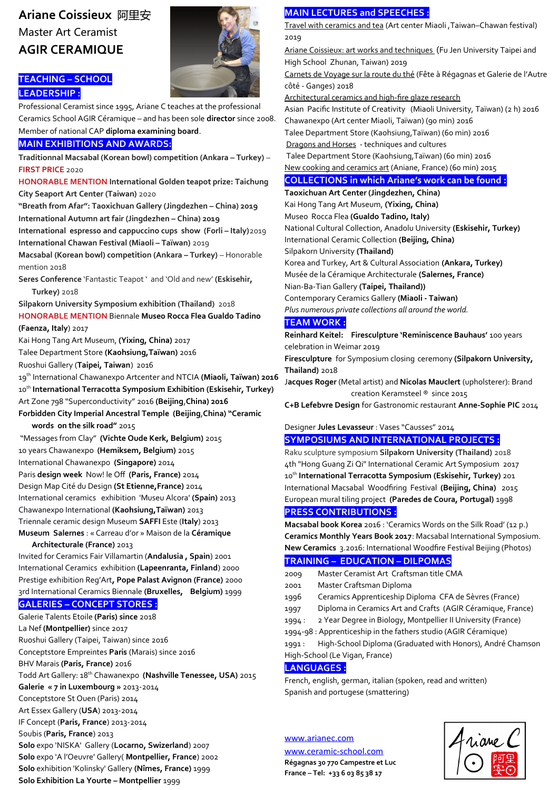# **Ariane Coissieux** 阿里安 Master Art Ceramist **AGIR CERAMIQUE**



# **TEACHING – SCHOOL LEADERSHIP :**

Professional Ceramist since 1995, Ariane C teaches at the professional Ceramics School AGIR Céramique – and has been sole **director** since 2008. Member of national CAP **diploma examining board**.

## **MAIN EXHIBITIONS AND AWARDS:**

**Traditionnal Macsabal (Korean bowl) competition (Ankara – Turkey)** – **FIRST PRICE** 2020

**HONORABLE MENTION International Golden teapot prize: Taichung City Seaport Art Center (Taiwan)** 2020

**"Breath from Afar": Taoxichuan Gallery (Jingdezhen – China) 2019 International Autumn art fair (Jingdezhen – China) 2019**

**International espresso and cappuccino cups show (Forli – Italy)**2019 **International Chawan Festival (Miaoli – Taïwan)** 2019

**Macsabal (Korean bowl) competition (Ankara – Turkey) – Honorable** mention 2018

**Seres Conference** 'Fantastic Teapot ' and 'Old and new' **(Eskisehir, Turkey)** 2018

**Silpakorn University Symposium exhibition (Thailand)** 2018 **HONORABLE MENTION** Biennale **Museo Rocca Flea Gualdo Tadino** 

#### **(Faenza, Italy**) 2017

Kai Hong Tang Art Museum, **(Yixing, China)** 2017

Talee Department Store **(Kaohsiung,Taïwan)** 2016

Ruoshui Gallery (**Taipei, Taiwan**) 2016

19th International Chawanexpo Artcenter and NTCIA **(Miaoli, Taïwan) 2016** 10<sup>th</sup> International Terracotta Symposium Exhibition (Eskisehir, Turkey) Art Zone 798 "Superconductivity" 2016 **(Beijing**,**China) 2016**

**Forbidden City Imperial Ancestral Temple (Beijing**,**China) "Ceramic words on the silk road"** 2015

 "Messages from Clay" **(Vichte Oude Kerk, Belgium)** 2015 10 years Chawanexpo **(Hemiksem, Belgium)** 2015 International Chawanexpo **(Singapore)** 2014 Paris design week Now! le Off (Paris, France) 2014 Design Map Cité du Design **(St Etienne,France)** 2014 International ceramics exhibition 'Museu Alcora' **(Spain)** 2013 Chawanexpo International **(Kaohsiung,Taïwan)** 2013 Triennale ceramic design Museum **SAFFI** Este (**Italy**) 2013 **Museum Salernes** : « Carreau d'or » Maison de la **Céramique** 

#### **Architecturale (France)** 2013

Invited for Ceramics Fair Villamartin (**Andalusia , Spain**) 2001 International Ceramics exhibition **(Lapeenranta, Finland**) 2000 Prestige exhibition Reg'Art**, Pope Palast Avignon (France)** 2000 3rd International Ceramics Biennale **(Bruxelles, Belgium)** 1999

#### **GALERIES – CONCEPT STORES :**

Galerie Talents Etoile **(Paris) since** 2018 La Nef **(Montpellier)** since 2017 Ruoshui Gallery (Taipei, Taiwan) since 2016 Conceptstore Empreintes **Paris** (Marais) since 2016 BHV Marais **(Paris, France)** 2016 Todd Art Gallery: 18th Chawanexpo **(Nashville Tenessee, USA)** 2015 **Galerie « 7 in Luxembourg »** 2013-2014 Conceptstore St Ouen (Paris) 2014 Art Essex Gallery (**USA**) 2013-2014 IF Concept (**Paris, France**) 2013-2014 Soubis (**Paris, France**) 2013 **Solo** expo 'NISKA' Gallery (**Locarno, Swizerland**) 2007 **Solo** expo 'A l'Oeuvre' Gallery( **Montpellier, France**) 2002 **Solo** exhibition 'Kolinsky' Gallery **(Nîmes, France)** 1999 **Solo Exhibition La Yourte – Montpellier** 1999

# **MAIN LECTURES and SPEECHES :**

Travel with ceramics and tea (Art center Miaoli ,Taiwan–Chawan festival) 2019

 Ariane Coissieux: art works and techniques (Fu Jen University Taipei and High School Zhunan, Taiwan) 2019

Carnets de Voyage sur la route du thé (Fête à Régagnas et Galerie de l'Autre côté - Ganges) 2018

Architectural ceramics and high-fre glaze research

Asian Pacifc Institute of Creativity (Miaoli University, Taïwan) (2 h) 2016 Chawanexpo (Art center Miaoli, Taïwan) (90 min) 2016

Talee Department Store (Kaohsiung,Taïwan) (60 min) 2016

Dragons and Horses - techniques and cultures

 Talee Department Store (Kaohsiung,Taïwan) (60 min) 2016 New cooking and ceramics art (Aniane, France) (60 min) 2015

# **COLLECTIONS in which Ariane's work can be found :**

**Taoxichuan Art Center (Jingdezhen, China)** Kai Hong Tang Art Museum, **(Yixing, China)** Museo Rocca Flea **(Gualdo Tadino, Italy)** National Cultural Collection, Anadolu University **(Eskisehir, Turkey)** International Ceramic Collection **(Beijing, China)** Silpakorn University **(Thailand)** Korea and Turkey, Art & Cultural Association **(Ankara, Turkey)** Musée de la Céramique Architecturale **(Salernes, France)** Nian-Ba-Tian Gallery **(Taipei, Thailand))** Contemporary Ceramics Gallery **(Miaoli - Taiwan)** *Plus numerous private collections all around the world.*

## **TEAM WORK :**

**Reinhard Keitel: Firesculpture 'Reminiscence Bauhaus'** 100 years celebration in Weimar 2019

**Firesculpture** for Symposium closing ceremony **(Silpakorn University, Thailand)** 2018

J**acques Roger** (Metal artist) and **Nicolas Mauclert** (upholsterer): Brand creation Keramsteel ® since 2015

**C+B Lefebvre Design** for Gastronomic restaurant **Anne-Sophie PIC** 2014

#### Designer **Jules Levasseur** : Vases "Causses" 2014 **SYMPOSIUMS AND INTERNATIONAL PROJECTS :**

Raku sculpture symposium **Silpakorn University (Thailand)** 2018 4th "Hong Guang Zi Qi" International Ceramic Art Symposium 2017 10th **International Terracotta Symposium (Eskisehir, Turkey)** 201 International Macsabal Woodfring Festival **(Beijing, China)** 2015 European mural tiling project **(Paredes de Coura, Portugal)** 1998 **PRESS CONTRIBUTIONS :**

**Macsabal book Korea** 2016 : 'Ceramics Words on the Silk Road' (12 p.) **Ceramics Monthly Years Book 2017**: Macsabal International Symposium. **New Ceramics** 3.2016: International Woodfre Festival Beijing (Photos)

## **TRAINING – EDUCATION – DILPOMAS**

- 2009 Master Ceramist Art Craftsman title CMA
- 2001 Master Craftsman Diploma
- 1996 Ceramics Apprenticeship Diploma CFA de Sèvres (France)
- 1997 Diploma in Ceramics Art and Crafts (AGIR Céramique, France)
- 1994 : 2 Year Degree in Biology, Montpellier II University (France)

1994-98 : Apprenticeship in the fathers studio (AGIR Céramique)

1991 : High-School Diploma (Graduated with Honors), André Chamson High-School (Le Vigan, France)

## **LANGUAGES :**

French, english, german, italian (spoken, read and written) Spanish and portugese (smattering)

# www.arianec.com

[www.ceramic-school.com](http://www.ceramic-school.com/) **Régagnas 30 770 Campestre et Luc France – Tel: +33 6 03 85 38 17**